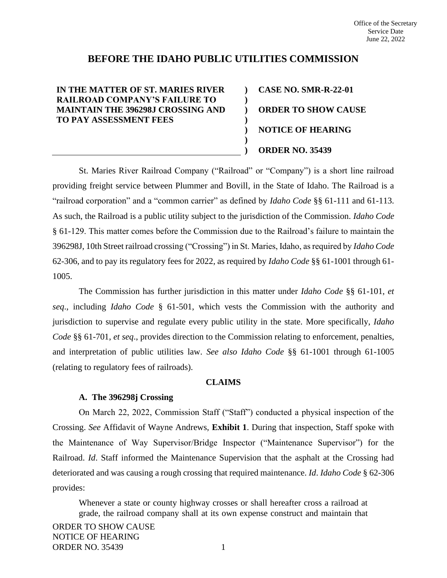### **BEFORE THE IDAHO PUBLIC UTILITIES COMMISSION**

**) ) ) ) ) ) )**

### **IN THE MATTER OF ST. MARIES RIVER RAILROAD COMPANY'S FAILURE TO MAINTAIN THE 396298J CROSSING AND TO PAY ASSESSMENT FEES**

**CASE NO. SMR-R-22-01 ORDER TO SHOW CAUSE NOTICE OF HEARING ORDER NO. 35439**

St. Maries River Railroad Company ("Railroad" or "Company") is a short line railroad providing freight service between Plummer and Bovill, in the State of Idaho. The Railroad is a "railroad corporation" and a "common carrier" as defined by *Idaho Code* §§ 61-111 and 61-113. As such, the Railroad is a public utility subject to the jurisdiction of the Commission. *Idaho Code* § 61-129. This matter comes before the Commission due to the Railroad's failure to maintain the 396298J, 10th Street railroad crossing ("Crossing") in St. Maries, Idaho, as required by *Idaho Code*  62-306, and to pay its regulatory fees for 2022, as required by *Idaho Code* §§ 61-1001 through 61- 1005.

The Commission has further jurisdiction in this matter under *Idaho Code* §§ 61-101, *et seq*., including *Idaho Code* § 61-501, which vests the Commission with the authority and jurisdiction to supervise and regulate every public utility in the state. More specifically, *Idaho Code* §§ 61-701, *et seq*., provides direction to the Commission relating to enforcement, penalties, and interpretation of public utilities law. *See also Idaho Code* §§ 61-1001 through 61-1005 (relating to regulatory fees of railroads).

### **CLAIMS**

### **A. The 396298j Crossing**

On March 22, 2022, Commission Staff ("Staff") conducted a physical inspection of the Crossing. *See* Affidavit of Wayne Andrews, **Exhibit 1**. During that inspection, Staff spoke with the Maintenance of Way Supervisor/Bridge Inspector ("Maintenance Supervisor") for the Railroad. *Id.* Staff informed the Maintenance Supervision that the asphalt at the Crossing had deteriorated and was causing a rough crossing that required maintenance. *Id*. *Idaho Code* § 62-306 provides:

Whenever a state or county highway crosses or shall hereafter cross a railroad at grade, the railroad company shall at its own expense construct and maintain that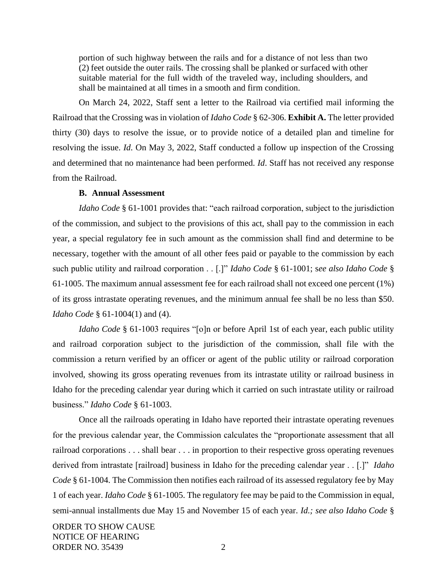portion of such highway between the rails and for a distance of not less than two (2) feet outside the outer rails. The crossing shall be planked or surfaced with other suitable material for the full width of the traveled way, including shoulders, and shall be maintained at all times in a smooth and firm condition.

On March 24, 2022, Staff sent a letter to the Railroad via certified mail informing the Railroad that the Crossing was in violation of *Idaho Code* § 62-306. **Exhibit A.** The letter provided thirty (30) days to resolve the issue, or to provide notice of a detailed plan and timeline for resolving the issue. *Id*. On May 3, 2022, Staff conducted a follow up inspection of the Crossing and determined that no maintenance had been performed. *Id*. Staff has not received any response from the Railroad.

#### **B. Annual Assessment**

*Idaho Code* § 61-1001 provides that: "each railroad corporation, subject to the jurisdiction of the commission, and subject to the provisions of this act, shall pay to the commission in each year, a special regulatory fee in such amount as the commission shall find and determine to be necessary, together with the amount of all other fees paid or payable to the commission by each such public utility and railroad corporation . . [.]" *Idaho Code* § 61-1001; s*ee also Idaho Code* § 61-1005. The maximum annual assessment fee for each railroad shall not exceed one percent (1%) of its gross intrastate operating revenues, and the minimum annual fee shall be no less than \$50. *Idaho Code* § 61-1004(1) and (4).

*Idaho Code* § 61-1003 requires "[o]n or before April 1st of each year, each public utility and railroad corporation subject to the jurisdiction of the commission, shall file with the commission a return verified by an officer or agent of the public utility or railroad corporation involved, showing its gross operating revenues from its intrastate utility or railroad business in Idaho for the preceding calendar year during which it carried on such intrastate utility or railroad business." *Idaho Code* § 61-1003.

Once all the railroads operating in Idaho have reported their intrastate operating revenues for the previous calendar year, the Commission calculates the "proportionate assessment that all railroad corporations . . . shall bear . . . in proportion to their respective gross operating revenues derived from intrastate [railroad] business in Idaho for the preceding calendar year . . [.]" *Idaho Code* § 61-1004. The Commission then notifies each railroad of its assessed regulatory fee by May 1 of each year. *Idaho Code* § 61-1005. The regulatory fee may be paid to the Commission in equal, semi-annual installments due May 15 and November 15 of each year. *Id.; see also Idaho Code* §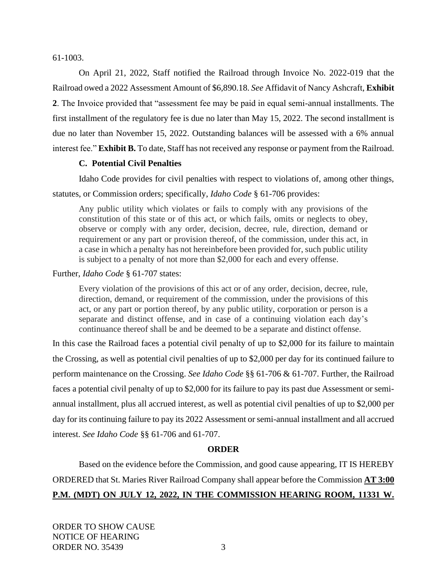61-1003.

On April 21, 2022, Staff notified the Railroad through Invoice No. 2022-019 that the Railroad owed a 2022 Assessment Amount of \$6,890.18. *See* Affidavit of Nancy Ashcraft, **Exhibit 2**. The Invoice provided that "assessment fee may be paid in equal semi-annual installments. The first installment of the regulatory fee is due no later than May 15, 2022. The second installment is due no later than November 15, 2022. Outstanding balances will be assessed with a 6% annual interest fee." **Exhibit B.** To date, Staff has not received any response or payment from the Railroad.

### **C. Potential Civil Penalties**

Idaho Code provides for civil penalties with respect to violations of, among other things, statutes, or Commission orders; specifically, *Idaho Code* § 61-706 provides:

Any public utility which violates or fails to comply with any provisions of the constitution of this state or of this act, or which fails, omits or neglects to obey, observe or comply with any order, decision, decree, rule, direction, demand or requirement or any part or provision thereof, of the commission, under this act, in a case in which a penalty has not hereinbefore been provided for, such public utility is subject to a penalty of not more than \$2,000 for each and every offense.

Further, *Idaho Code* § 61-707 states:

Every violation of the provisions of this act or of any order, decision, decree, rule, direction, demand, or requirement of the commission, under the provisions of this act, or any part or portion thereof, by any public utility, corporation or person is a separate and distinct offense, and in case of a continuing violation each day's continuance thereof shall be and be deemed to be a separate and distinct offense.

In this case the Railroad faces a potential civil penalty of up to \$2,000 for its failure to maintain the Crossing, as well as potential civil penalties of up to \$2,000 per day for its continued failure to perform maintenance on the Crossing. *See Idaho Code* §§ 61-706 & 61-707. Further, the Railroad faces a potential civil penalty of up to \$2,000 for its failure to pay its past due Assessment or semiannual installment, plus all accrued interest, as well as potential civil penalties of up to \$2,000 per day for its continuing failure to pay its 2022 Assessment or semi-annual installment and all accrued interest. *See Idaho Code* §§ 61-706 and 61-707.

### **ORDER**

Based on the evidence before the Commission, and good cause appearing, IT IS HEREBY ORDERED that St. Maries River Railroad Company shall appear before the Commission **AT 3:00 P.M. (MDT) ON JULY 12, 2022, IN THE COMMISSION HEARING ROOM, 11331 W.**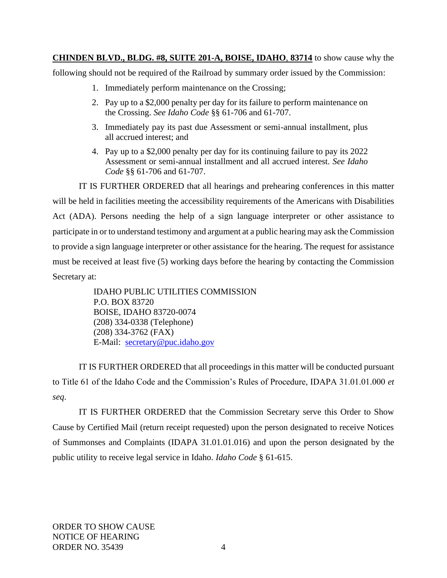**CHINDEN BLVD., BLDG. #8, SUITE 201-A, BOISE, IDAHO**, **83714** to show cause why the

following should not be required of the Railroad by summary order issued by the Commission:

- 1. Immediately perform maintenance on the Crossing;
- 2. Pay up to a \$2,000 penalty per day for its failure to perform maintenance on the Crossing. *See Idaho Code* §§ 61-706 and 61-707.
- 3. Immediately pay its past due Assessment or semi-annual installment, plus all accrued interest; and
- 4. Pay up to a \$2,000 penalty per day for its continuing failure to pay its 2022 Assessment or semi-annual installment and all accrued interest. *See Idaho Code* §§ 61-706 and 61-707.

IT IS FURTHER ORDERED that all hearings and prehearing conferences in this matter will be held in facilities meeting the accessibility requirements of the Americans with Disabilities Act (ADA). Persons needing the help of a sign language interpreter or other assistance to participate in or to understand testimony and argument at a public hearing may ask the Commission to provide a sign language interpreter or other assistance for the hearing. The request for assistance must be received at least five (5) working days before the hearing by contacting the Commission Secretary at:

> IDAHO PUBLIC UTILITIES COMMISSION P.O. BOX 83720 BOISE, IDAHO 83720-0074 (208) 334-0338 (Telephone) (208) 334-3762 (FAX) E-Mail: [secretary@puc.idaho.gov](mailto:secretary@puc.idaho.gov)

IT IS FURTHER ORDERED that all proceedings in this matter will be conducted pursuant to Title 61 of the Idaho Code and the Commission's Rules of Procedure, IDAPA 31.01.01.000 *et seq*.

IT IS FURTHER ORDERED that the Commission Secretary serve this Order to Show Cause by Certified Mail (return receipt requested) upon the person designated to receive Notices of Summonses and Complaints (IDAPA 31.01.01.016) and upon the person designated by the public utility to receive legal service in Idaho. *Idaho Code* § 61-615.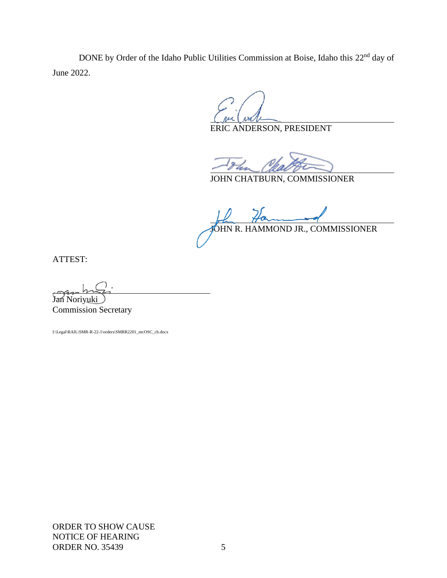DONE by Order of the Idaho Public Utilities Commission at Boise, Idaho this 22<sup>nd</sup> day of June 2022.

l

ERIC ANDERSON, PRESIDENT

j

JOHN CHATBURN, COMMISSIONER

l JOHN R. HAMMOND JR., COMMISSIONER

ATTEST:

Jan Noriyuki Commission Secretary

I:\Legal\RAIL\SMR-R-22-1\orders\SMRR2201\_ntcOSC\_cb.docx

ORDER TO SHOW CAUSE NOTICE OF HEARING ORDER NO. 35439 5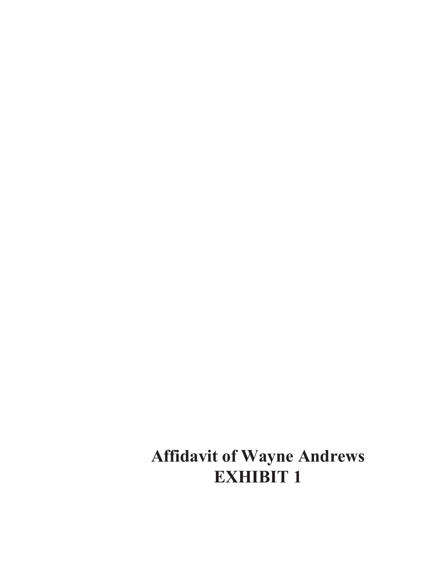**Affidavit of Wayne Andrews EXHIBIT 1**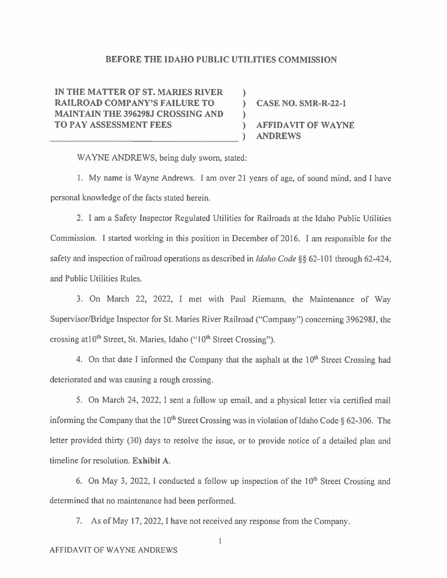#### **BEFORE THE IDAHO PUBLIC UTILITIES COMMISSION**

 $\mathcal{L}$ 

Y.

IN THE MATTER OF ST. MARIES RIVER **RAILROAD COMPANY'S FAILURE TO MAINTAIN THE 396298J CROSSING AND TO PAY ASSESSMENT FEES** 

) CASE NO. SMR-R-22-1 **AFFIDAVIT OF WAYNE ANDREWS** 

WAYNE ANDREWS, being duly sworn, stated:

1. My name is Wayne Andrews. I am over 21 years of age, of sound mind, and I have personal knowledge of the facts stated herein.

2. I am a Safety Inspector Regulated Utilities for Railroads at the Idaho Public Utilities Commission. I started working in this position in December of 2016. I am responsible for the safety and inspection of railroad operations as described in *Idaho Code* §§ 62-101 through 62-424, and Public Utilities Rules.

3. On March 22, 2022, I met with Paul Riemann, the Maintenance of Way Supervisor/Bridge Inspector for St. Maries River Railroad ("Company") concerning 396298J, the crossing at 10<sup>th</sup> Street, St. Maries, Idaho ("10<sup>th</sup> Street Crossing").

4. On that date I informed the Company that the asphalt at the 10<sup>th</sup> Street Crossing had deteriorated and was causing a rough crossing.

5. On March 24, 2022, I sent a follow up email, and a physical letter via certified mail informing the Company that the 10<sup>th</sup> Street Crossing was in violation of Idaho Code  $\delta$  62-306. The letter provided thirty (30) days to resolve the issue, or to provide notice of a detailed plan and timeline for resolution. Exhibit A.

6. On May 3, 2022, I conducted a follow up inspection of the 10<sup>th</sup> Street Crossing and determined that no maintenance had been performed.

7. As of May 17, 2022, I have not received any response from the Company.

 $\mathbf 1$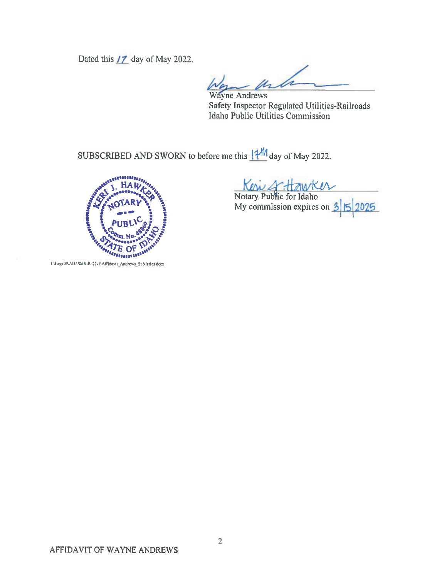Dated this  $17$  day of May 2022.

M **Wayne Andrews** 

Safety Inspector Regulated Utilities-Railroads Idaho Public Utilities Commission

SUBSCRIBED AND SWORN to before me this  $14^M$  day of May 2022.



Ken & Hawker

My commission expires on  $3\overline{5}$ 2025

I \Legal\RAIL\SMR-R-22-1\Affidavit\_Andrews\_St Maries docx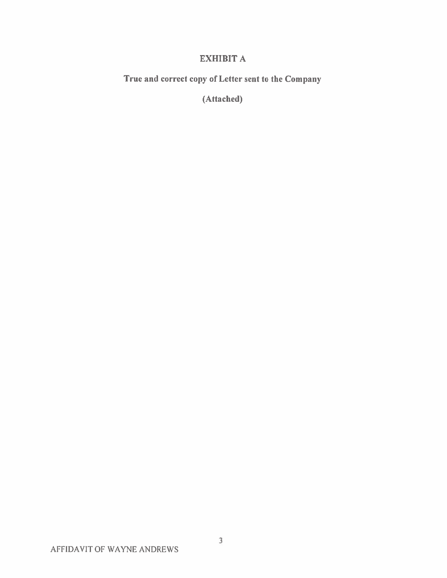### **EXHIBIT A**

True and correct copy of Letter sent to the Company

(Attached)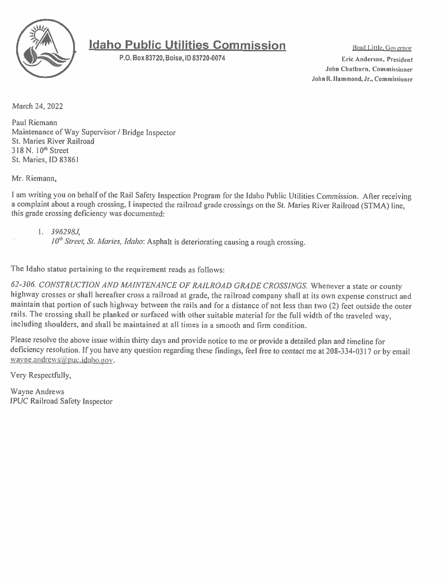

# **Idaho Public Utilities Commission**

P.O. Box 83720, Boise, ID 83720-0074

Brad Little, Governor Eric Anderson, President John Chatburn, Commissioner John R. Hammond, Jr., Commissioner

March 24, 2022

Paul Riemann Maintenance of Way Supervisor / Bridge Inspector St. Maries River Railroad 318 N. 10<sup>th</sup> Street St. Maries, ID 83861

Mr. Riemann.

I am writing you on behalf of the Rail Safety Inspection Program for the Idaho Public Utilities Commission. After receiving a complaint about a rough crossing, I inspected the railroad grade crossings on the St. Maries River Railroad (STMA) line, this grade crossing deficiency was documented:

 $1.396298J$ 

 $10<sup>th</sup> Street, St. Maries, Idaho: Asphalt is determining causing a rough crossing.$ 

The Idaho statue pertaining to the requirement reads as follows:

62-306. CONSTRUCTION AND MAINTENANCE OF RAILROAD GRADE CROSSINGS. Whenever a state or county highway crosses or shall hereafter cross a railroad at grade, the railroad company shall at its own expense construct and maintain that portion of such highway between the rails and for a distance of not less than two (2) feet outside the outer rails. The crossing shall be planked or surfaced with other suitable material for the full width of the traveled way, including shoulders, and shall be maintained at all times in a smooth and firm condition.

Please resolve the above issue within thirty days and provide notice to me or provide a detailed plan and timeline for deficiency resolution. If you have any question regarding these findings, feel free to contact me at 208-334-0317 or by email  $\frac{v}{a}$  yne.andrews@puc.idaho.gov.

Very Respectfully,

Wayne Andrews **IPUC Railroad Safety Inspector**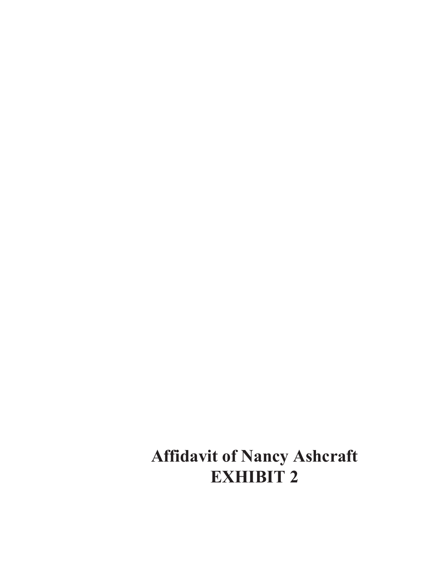**Affidavit of Nancy Ashcraft EXHIBIT 2**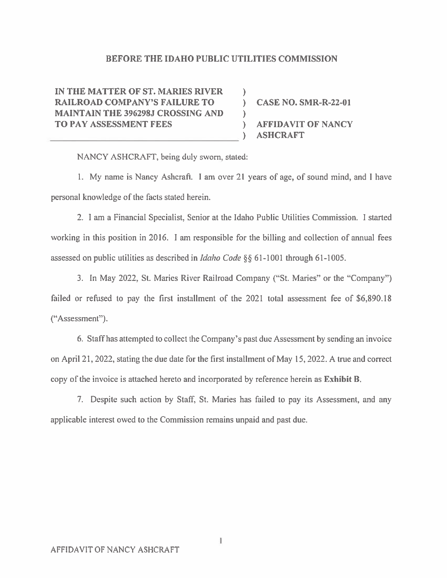#### BEFORE THE IDAHO PUBLIC UTILITIES COMMISSION

 $\mathcal{L}$ 

 $\mathcal{L}$ 

IN THE MATTER OF ST. MARIES RIVER **RAILROAD COMPANY'S FAILURE TO MAINTAIN THE 396298J CROSSING AND** TO PAY ASSESSMENT FEES

**CASE NO. SMR-R-22-01 AFFIDAVIT OF NANCY ASHCRAFT** 

NANCY ASHCRAFT, being duly sworn, stated:

1. My name is Nancy Ashcraft. I am over 21 years of age, of sound mind, and I have personal knowledge of the facts stated herein.

2. I am a Financial Specialist, Senior at the Idaho Public Utilities Commission. I started working in this position in 2016. I am responsible for the billing and collection of annual fees assessed on public utilities as described in *Idaho Code*  $\S$ § 61-1001 through 61-1005.

3. In May 2022, St. Maries River Railroad Company ("St. Maries" or the "Company") failed or refused to pay the first installment of the 2021 total assessment fee of \$6,890.18 ("Assessment").

6. Staff has attempted to collect the Company's past due Assessment by sending an invoice on April 21, 2022, stating the due date for the first installment of May 15, 2022. A true and correct copy of the invoice is attached hereto and incorporated by reference herein as **Exhibit B**.

7. Despite such action by Staff, St. Maries has failed to pay its Assessment, and any applicable interest owed to the Commission remains unpaid and past due.

1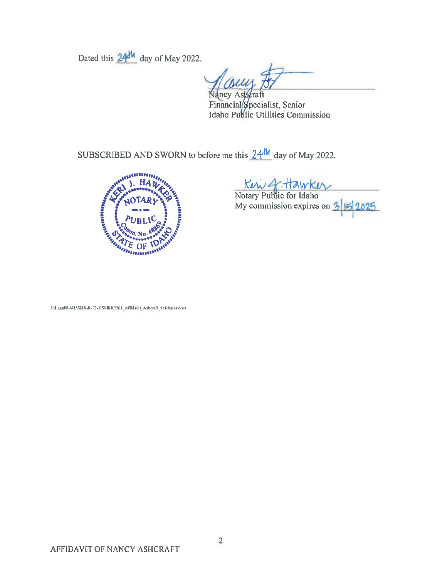Dated this 24<sup>th</sup> day of May 2022.

uy

Nancy Asheraft Financial/Specialist, Senior<br>Idaho Public Utilities Commission

SUBSCRIBED AND SWORN to before me this  $24^M$  day of May 2022.



Kew 4 Hawkey<br>Notary Public for Idaho<br>My commission expires on 3 15 2025

I \Legal\RAIL\SMR-R-22-1\SMRR2201\_Affidavit\_Ashcraft\_St Maries docx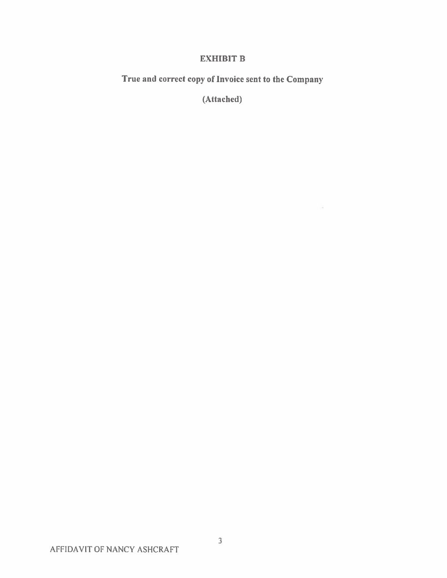### **EXHIBIT B**

True and correct copy of Invoice sent to the Company

(Attached)

 $\sqrt{\frac{2}{\sqrt{3}}}$